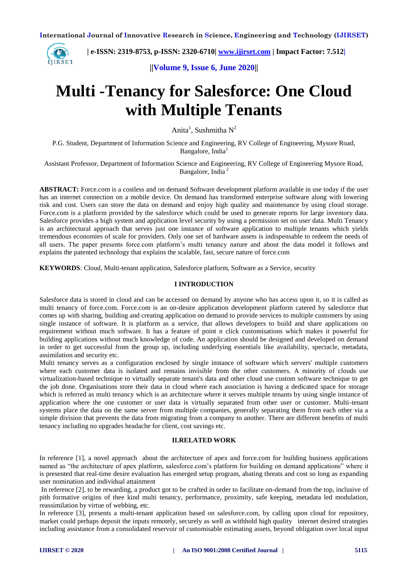

 **| e-ISSN: 2319-8753, p-ISSN: 2320-6710| [www.ijirset.com](http://www.ijirset.com/) | Impact Factor: 7.512|**

**||Volume 9, Issue 6, June 2020||** 

# **Multi -Tenancy for Salesforce: One Cloud with Multiple Tenants**

Anita $^1$ , Sushmitha  $N^2$ 

P.G. Student, Department of Information Science and Engineering, RV College of Engineering, Mysore Road, Bangalore, India<sup>1</sup>

Assistant Professor, Department of Information Science and Engineering, RV College of Engineering Mysore Road, Bangalore, India<sup>2</sup>

**ABSTRACT:** Force.com is a costless and on demand Software development platform available in use today if the user has an internet connection on a mobile device. On demand has transformed enterprise software along with lowering risk and cost. Users can store the data on demand and enjoy high quality and maintenance by using cloud storage. Force.com is a platform provided by the salesforce which could be used to generate reports for large inventory data. Salesforce provides a high system and application level security by using a permission set on user data. Multi Tenancy is an architectural approach that serves just one instance of software application to multiple tenants which yields tremendous economies of scale for providers. Only one set of hardware assets is indispensable to redeem the needs of all users. The paper presents force.com platform's multi tenancy nature and about the data model it follows and explains the patented technology that explains the scalable, fast, secure nature of force.com

**KEYWORDS**: Cloud, Multi-tenant application, Salesforce platform, Software as a Service, security

## **I INTRODUCTION**

Salesforce data is stored in cloud and can be accessed on demand by anyone who has access upon it, so it is called as multi tenancy of force.com. Force.com is an on-desire application development platform catered by salesforce that comes up with sharing, building and creating application on demand to provide services to multiple customers by using single instance of software. It is platform as a service, that allows developers to build and share applications on requirement without much software. It has a feature of point n click customisations which makes it powerful for building applications without much knowledge of code. An application should be designed and developed on demand in order to get successful from the group up, including underlying essentials like availability, spectacle, metadata, assimilation and security etc.

Multi tenancy serves as a configuration enclosed by single instance of software which servers' multiple customers where each customer data is isolated and remains invisible from the other customers. A minority of clouds use virtualization-based technique to virtually separate tenant's data and other cloud use custom software technique to get the job done. Organisations store their data in cloud where each association is having a dedicated space for storage which is referred as multi tenancy which is an architecture where it serves multiple tenants by using single instance of application where the one customer or user data is virtually separated from other user or customer. Multi-tenant systems place the data on the same server from multiple companies, generally separating them from each other via a simple division that prevents the data from migrating from a company to another. There are different benefits of multi tenancy including no upgrades headache for client, cost savings etc.

#### **II.RELATED WORK**

In reference [1], a novel approach about the architecture of apex and force.com for building business applications named as "the architecture of apex platform, salesforce.com's platform for building on demand applications" where it is presented that real-time desire evaluation has emerged setup program, abating threats and cost so long as expanding user nomination and individual attainment

In reference [2], to be rewarding, a product got to be crafted in order to facilitate on-demand from the top, inclusive of pith formative origins of thee kind multi tenancy, performance, proximity, safe keeping, metadata led modulation, reassimilation by virtue of webbing, etc.

In reference [3], presents a multi-tenant application based on salesforce.com, by calling upon cloud for repository, market could perhaps deposit the inputs remotely, securely as well as withhold high quality internet desired strategies including assistance from a consolidated reservoir of customisable estimating assets, beyond obligation over local input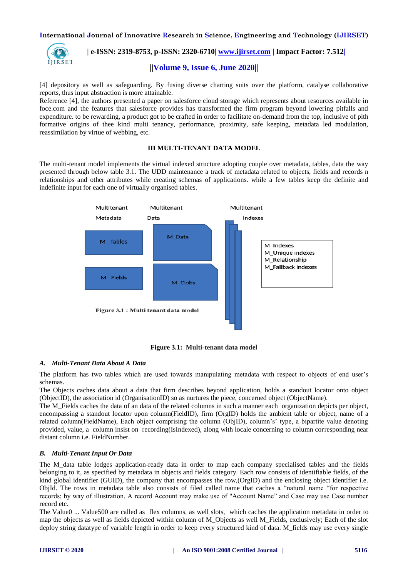

 **| e-ISSN: 2319-8753, p-ISSN: 2320-6710| [www.ijirset.com](http://www.ijirset.com/) | Impact Factor: 7.512|**

# **||Volume 9, Issue 6, June 2020||**

[4] depository as well as safeguarding. By fusing diverse charting suits over the platform, catalyse collaborative reports, thus input abstraction is more attainable.

Reference [4], the authors presented a paper on salesforce cloud storage which represents about resources available in foce.com and the features that salesforce provides has transformed the firm program beyond lowering pitfalls and expenditure. to be rewarding, a product got to be crafted in order to facilitate on-demand from the top, inclusive of pith formative origins of thee kind multi tenancy, performance, proximity, safe keeping, metadata led modulation, reassimilation by virtue of webbing, etc.

# **III MULTI-TENANT DATA MODEL**

The multi-tenant model implements the virtual indexed structure adopting couple over metadata, tables, data the way presented through below table 3.1. The UDD maintenance a track of metadata related to objects, fields and records n relationships and other attributes while creating schemas of applications. while a few tables keep the definite and indefinite input for each one of virtually organised tables.



**Figure 3.1: Multi-tenant data model**

# *A. Multi-Tenant Data About A Data*

The platform has two tables which are used towards manipulating metadata with respect to objects of end user's schemas.

The Objects caches data about a data that firm describes beyond application, holds a standout locator onto object (ObjectID), the association id (OrganisationID) so as nurtures the piece, concerned object (ObjectName).

The M\_Fields caches the data of an data of the related columns in such a manner each organization depicts per object, encompassing a standout locator upon column(FieldID), firm (OrgID) holds the ambient table or object, name of a related column(FieldName), Each object comprising the column (ObjID), column's' type, a bipartite value denoting provided, value, a column insist on recording(IsIndexed), along with locale concerning to column corresponding near distant column i.e. FieldNumber.

# *B. Multi-Tenant Input Or Data*

The M\_data table lodges application-ready data in order to map each company specialised tables and the fields belonging to it, as specified by metadata in objects and fields category. Each row consists of identifiable fields, of the kind global identifier (GUID), the company that encompasses the row,(OrgID) and the enclosing object identifier i.e. ObjId. The rows in metadata table also consists of filed called name that caches a "natural name "for respective records; by way of illustration, A record Account may make use of "Account Name" and Case may use Case number record etc.

The Value0 ... Value500 are called as flex columns, as well slots, which caches the application metadata in order to map the objects as well as fields depicted within column of M\_Objects as well M\_Fields, exclusively; Each of the slot deploy string datatype of variable length in order to keep every structured kind of data. M\_fields may use every single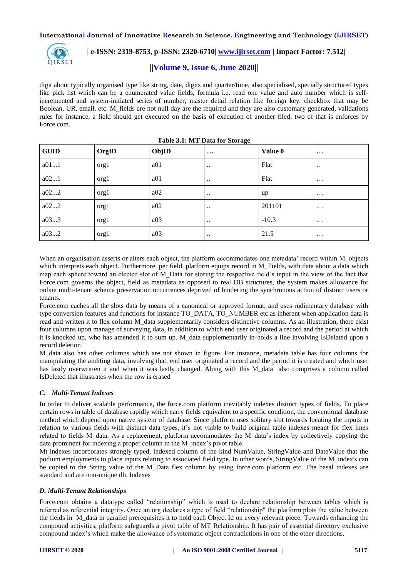

# **| e-ISSN: 2319-8753, p-ISSN: 2320-6710| [www.ijirset.com](http://www.ijirset.com/) | Impact Factor: 7.512|**

# **||Volume 9, Issue 6, June 2020||**

digit about typically organised type like string, date, digits and quarter/time, also specialised, specially structured types like pick list which can be a enumerated value fields, formula i.e. read one value and auto number which is selfincremented and system-initiated series of number, master detail relation like foreign key, checkbox that may be Boolean, UR, email, etc. M\_fields are not null day are the required and they are also customary generated, validations rules for instance, a field should get executed on the basis of execution of another filed, two of that is enforces by Force.com.

| <b>GUID</b> | OrgID | ObjID           | $\cdots$         | Value 0 | $\cdots$         |
|-------------|-------|-----------------|------------------|---------|------------------|
| a011        | org1  | a <sub>01</sub> | $\ddotsc$        | Flat    | $\bullet\bullet$ |
| a021        | org1  | a <sub>01</sub> | $\ddotsc$        | Flat    | $\cdots$         |
| a022        | org1  | a02             | $\ddotsc$        | up      | $\cdots$         |
| a022        | orgl  | a02             | $\ddotsc$        | 201101  | $\cdots$         |
| a033        | orgl  | a03             | $\ddotsc$        | $-10.3$ | $\cdots$         |
| a032        | org1  | a03             | $\bullet\bullet$ | 21.5    | $\cdots$         |

**Table 3.1: MT Data for Storage**

When an organisation asserts or alters each object, the platform accommodates one metadata' record within M\_objects which interprets each object. Furthermore, per field, platform equips record in M\_Fields, with data about a data which map each sphere toward an elected slot of M\_Data for storing the respective field's input in the view of the fact that Force.com governs the object, field as metadata as opposed to real DB structures, the system makes allowance for online multi-tenant schema preservation occurrences deprived of hindering the synchronous action of distinct users or tenants.

Force.com caches all the slots data by means of a canonical or approved format, and uses rudimentary database with type conversion features and functions for instance TO\_DATA, TO\_NUMBER etc as inherent when application data is read and written it to flex column M\_data supplementarily considers distinctive columns. As an illustration, there exist four columns upon manage of surveying data, in addition to which end user originated a record and the period at which it is knocked up, who has amended it to sum up. M\_data supplementarily in-holds a line involving IsDelated upon a record deletion

M\_data also has other columns which are not shown in figure. For instance, metadata table has four columns for manipulating the auditing data, involving that, end user originated a record and the period it is created and which user has lastly overwritten it and when it was lastly changed. Along with this M\_data also comprises a column called IsDeleted that illustrates when the row is erased

# *C. Multi-Tenant Indexes*

In order to deliver scalable performance, the force.com platform inevitably indexes distinct types of fields. To place certain rows in table of database rapidly which carry fields equivalent to a specific condition, the conventional database method which depend upon native system of database. Since platform uses solitary slot towards locating the inputs in relation to various fields with distinct data types, it's not viable to build original table indexes meant for flex lines related to fields M\_data. As a replacement, platform accommodates the M\_data's index by collectively copying the data prominent for indexing a proper column in the M\_index's pivot table.

Mt indexes incorporates strongly typed, indexed column of the kind NumValue, StringValue and DateValue that the podium employments to place inputs relating to associated field type. In other words, StringValue of the M\_index's can be copied to the String value of the M\_Data flex column by using force.com platform etc. The basal indexes are standard and are non-unique db. Indexes

#### *D. Multi-Tenant Relationships*

Force.com obtains a datatype called "relationship" which is used to declare relationship between tables which is referred as referential integrity. Once an org declares a type of field "relationship" the platform plots the value between the fields in M\_data in parallel prerequisites it to hold each Object Id on every relevant piece. Towards enhancing the compound activities, platform safeguards a pivot table of MT Relationship. It has pair of essential directory exclusive compound index's which make the allowance of systematic object contradictions in one of the other directions.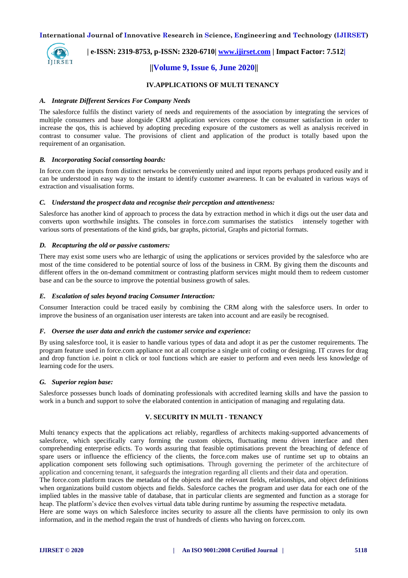

 **| e-ISSN: 2319-8753, p-ISSN: 2320-6710| [www.ijirset.com](http://www.ijirset.com/) | Impact Factor: 7.512|**

# **||Volume 9, Issue 6, June 2020||**

# **IV.APPLICATIONS OF MULTI TENANCY**

#### *A. Integrate Different Services For Company Needs*

The salesforce fulfils the distinct variety of needs and requirements of the association by integrating the services of multiple consumers and base alongside CRM application services compose the consumer satisfaction in order to increase the qos, this is achieved by adopting preceding exposure of the customers as well as analysis received in contrast to consumer value. The provisions of client and application of the product is totally based upon the requirement of an organisation.

#### *B. Incorporating Social consorting boards:*

In force.com the inputs from distinct networks be conveniently united and input reports perhaps produced easily and it can be understood in easy way to the instant to identify customer awareness. It can be evaluated in various ways of extraction and visualisation forms.

#### *C. Understand the prospect data and recognise their perception and attentiveness:*

Salesforce has another kind of approach to process the data by extraction method in which it digs out the user data and converts upon worthwhile insights. The consoles in force.com summarises the statistics intensely together with various sorts of presentations of the kind grids, bar graphs, pictorial, Graphs and pictorial formats.

#### *D. Recapturing the old or passive customers:*

There may exist some users who are lethargic of using the applications or services provided by the salesforce who are most of the time considered to be potential source of loss of the business in CRM. By giving them the discounts and different offers in the on-demand commitment or contrasting platform services might mould them to redeem customer base and can be the source to improve the potential business growth of sales.

#### *E. Escalation of sales beyond tracing Consumer Interaction:*

Consumer Interaction could be traced easily by combining the CRM along with the salesforce users. In order to improve the business of an organisation user interests are taken into account and are easily be recognised.

#### *F. Oversee the user data and enrich the customer service and experience:*

By using salesforce tool, it is easier to handle various types of data and adopt it as per the customer requirements. The program feature used in force.com appliance not at all comprise a single unit of coding or designing. IT craves for drag and drop function i.e. point n click or tool functions which are easier to perform and even needs less knowledge of learning code for the users.

#### *G. Superior region base:*

Salesforce possesses bunch loads of dominating professionals with accredited learning skills and have the passion to work in a bunch and support to solve the elaborated contention in anticipation of managing and regulating data.

# **V. SECURITY IN MULTI - TENANCY**

Multi tenancy expects that the applications act reliably, regardless of architects making-supported advancements of salesforce, which specifically carry forming the custom objects, fluctuating menu driven interface and then comprehending enterprise edicts. To words assuring that feasible optimisations prevent the breaching of defence of spare users or influence the efficiency of the clients, the force.com makes use of runtime set up to obtains an application component sets following such optimisations. Through governing the perimeter of the architecture of application and concerning tenant, it safeguards the integration regarding all clients and their data and operation.

The force.com platform traces the metadata of the objects and the relevant fields, relationships, and object definitions when organizations build custom objects and fields. Salesforce caches the program and user data for each one of the implied tables in the massive table of database, that in particular clients are segmented and function as a storage for heap. The platform's device then evolves virtual data table during runtime by assuming the respective metadata.

Here are some ways on which Salesforce incites security to assure all the clients have permission to only its own information, and in the method regain the trust of hundreds of clients who having on forcex.com.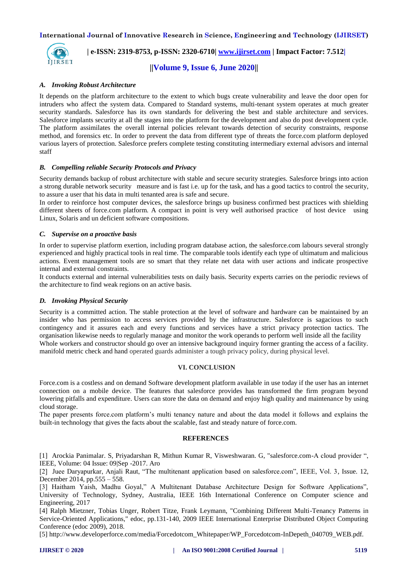

 **| e-ISSN: 2319-8753, p-ISSN: 2320-6710| [www.ijirset.com](http://www.ijirset.com/) | Impact Factor: 7.512|**

**||Volume 9, Issue 6, June 2020||** 

## *A. Invoking Robust Architecture*

It depends on the platform architecture to the extent to which bugs create vulnerability and leave the door open for intruders who affect the system data. Compared to Standard systems, multi-tenant system operates at much greater security standards. Salesforce has its own standards for delivering the best and stable architecture and services. Salesforce implants security at all the stages into the platform for the development and also do post development cycle. The platform assimilates the overall internal policies relevant towards detection of security constraints, response method, and forensics etc. In order to prevent the data from different type of threats the force.com platform deployed various layers of protection. Salesforce prefers complete testing constituting intermediary external advisors and internal staff

## *B. Compelling reliable Security Protocols and Privacy*

Security demands backup of robust architecture with stable and secure security strategies. Salesforce brings into action a strong durable network security measure and is fast i.e. up for the task, and has a good tactics to control the security, to assure a user that his data in multi tenanted area is safe and secure.

In order to reinforce host computer devices, the salesforce brings up business confirmed best practices with shielding different sheets of force.com platform. A compact in point is very well authorised practice of host device using Linux, Solaris and un deficient software compositions.

## *C. Supervise on a proactive basis*

In order to supervise platform exertion, including program database action, the salesforce.com labours several strongly experienced and highly practical tools in real time. The comparable tools identify each type of ultimatum and malicious actions. Event management tools are so smart that they relate net data with user actions and indicate prospective internal and external constraints.

It conducts external and internal vulnerabilities tests on daily basis. Security experts carries on the periodic reviews of the architecture to find weak regions on an active basis.

#### *D. Invoking Physical Security*

Security is a committed action. The stable protection at the level of software and hardware can be maintained by an insider who has permission to access services provided by the infrastructure. Salesforce is sagacious to such contingency and it assures each and every functions and services have a strict privacy protection tactics. The organisation likewise needs to regularly manage and monitor the work operands to perform well inside all the facility Whole workers and constructor should go over an intensive background inquiry former granting the access of a facility. manifold metric check and hand operated guards administer a tough privacy policy, during physical level.

## **VI. CONCLUSION**

Force.com is a costless and on demand Software development platform available in use today if the user has an internet connection on a mobile device. The features that salesforce provides has transformed the firm program beyond lowering pitfalls and expenditure. Users can store the data on demand and enjoy high quality and maintenance by using cloud storage.

The paper presents force.com platform's multi tenancy nature and about the data model it follows and explains the built-in technology that gives the facts about the scalable, fast and steady nature of force.com.

## **REFERENCES**

[1] Arockia Panimalar. S, Priyadarshan R, Mithun Kumar R, Visweshwaran. G, "salesforce.com-A cloud provider ", IEEE, Volume: 04 Issue: 09|Sep -2017. Aro

[2] Juee Daryapurkar, Anjali Raut, "The multitenant application based on salesforce.com", IEEE, Vol. 3, Issue. 12, December 2014, pp.555 – 558.

[3] Haitham Yaish, Madhu Goyal," A Multitenant Database Architecture Design for Software Applications", University of Technology, Sydney, Australia, IEEE 16th International Conference on Computer science and Engineering, 2017

[4] Ralph Mietzner, Tobias Unger, Robert Titze, Frank Leymann, "Combining Different Multi-Tenancy Patterns in Service-Oriented Applications," edoc, pp.131-140, 2009 IEEE International Enterprise Distributed Object Computing Conference (edoc 2009), 2018.

[5] http://www.developerforce.com/media/Forcedotcom\_Whitepaper/WP\_Forcedotcom-InDepeth\_040709\_WEB.pdf.